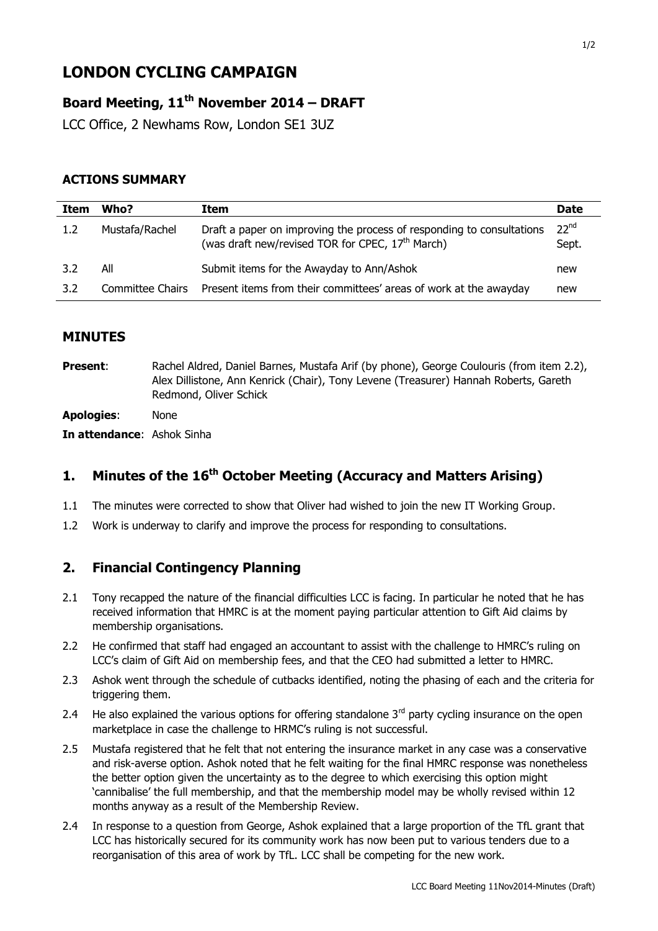# **LONDON CYCLING CAMPAIGN**

# **Board Meeting, 11 th November 2014 – DRAFT**

LCC Office, 2 Newhams Row, London SE1 3UZ

### **ACTIONS SUMMARY**

| Item | Who?             | Item                                                                                                                                  | <b>Date</b>               |
|------|------------------|---------------------------------------------------------------------------------------------------------------------------------------|---------------------------|
| 1.2  | Mustafa/Rachel   | Draft a paper on improving the process of responding to consultations<br>(was draft new/revised TOR for CPEC, 17 <sup>th</sup> March) | 22 <sup>nd</sup><br>Sept. |
| 3.2  | All              | Submit items for the Awayday to Ann/Ashok                                                                                             | new                       |
| 3.2  | Committee Chairs | Present items from their committees' areas of work at the awayday                                                                     | new                       |

### **MINUTES**

| <b>Present:</b> | Rachel Aldred, Daniel Barnes, Mustafa Arif (by phone), George Coulouris (from item 2.2), |
|-----------------|------------------------------------------------------------------------------------------|
|                 | Alex Dillistone, Ann Kenrick (Chair), Tony Levene (Treasurer) Hannah Roberts, Gareth     |
|                 | Redmond, Oliver Schick                                                                   |
|                 |                                                                                          |

**Apologies**: None

**In attendance**: Ashok Sinha

# **1. Minutes of the 16th October Meeting (Accuracy and Matters Arising)**

- 1.1 The minutes were corrected to show that Oliver had wished to join the new IT Working Group.
- 1.2 Work is underway to clarify and improve the process for responding to consultations.

# **2. Financial Contingency Planning**

- 2.1 Tony recapped the nature of the financial difficulties LCC is facing. In particular he noted that he has received information that HMRC is at the moment paying particular attention to Gift Aid claims by membership organisations.
- 2.2 He confirmed that staff had engaged an accountant to assist with the challenge to HMRC's ruling on LCC's claim of Gift Aid on membership fees, and that the CEO had submitted a letter to HMRC.
- 2.3 Ashok went through the schedule of cutbacks identified, noting the phasing of each and the criteria for triggering them.
- 2.4 He also explained the various options for offering standalone  $3<sup>rd</sup>$  party cycling insurance on the open marketplace in case the challenge to HRMC's ruling is not successful.
- 2.5 Mustafa registered that he felt that not entering the insurance market in any case was a conservative and risk-averse option. Ashok noted that he felt waiting for the final HMRC response was nonetheless the better option given the uncertainty as to the degree to which exercising this option might 'cannibalise' the full membership, and that the membership model may be wholly revised within 12 months anyway as a result of the Membership Review.
- 2.4 In response to a question from George, Ashok explained that a large proportion of the TfL grant that LCC has historically secured for its community work has now been put to various tenders due to a reorganisation of this area of work by TfL. LCC shall be competing for the new work.